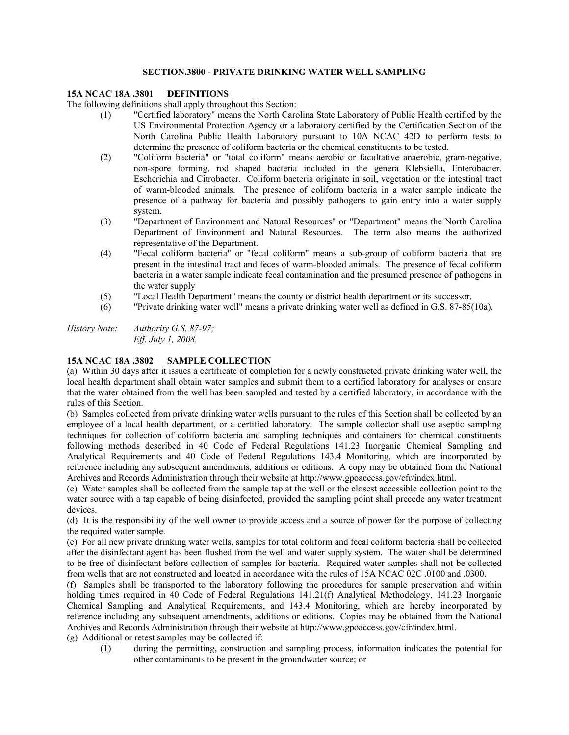## **SECTION.3800 - PRIVATE DRINKING WATER WELL SAMPLING**

## **15A NCAC 18A .3801 DEFINITIONS**

The following definitions shall apply throughout this Section:

- (1) "Certified laboratory" means the North Carolina State Laboratory of Public Health certified by the US Environmental Protection Agency or a laboratory certified by the Certification Section of the North Carolina Public Health Laboratory pursuant to 10A NCAC 42D to perform tests to determine the presence of coliform bacteria or the chemical constituents to be tested.
- (2) "Coliform bacteria" or "total coliform" means aerobic or facultative anaerobic, gram-negative, non-spore forming, rod shaped bacteria included in the genera Klebsiella, Enterobacter, Escherichia and Citrobacter. Coliform bacteria originate in soil, vegetation or the intestinal tract of warm-blooded animals. The presence of coliform bacteria in a water sample indicate the presence of a pathway for bacteria and possibly pathogens to gain entry into a water supply system.
- (3) "Department of Environment and Natural Resources" or "Department" means the North Carolina Department of Environment and Natural Resources. The term also means the authorized representative of the Department.
- (4) "Fecal coliform bacteria" or "fecal coliform" means a sub-group of coliform bacteria that are present in the intestinal tract and feces of warm-blooded animals. The presence of fecal coliform bacteria in a water sample indicate fecal contamination and the presumed presence of pathogens in the water supply
- (5) "Local Health Department" means the county or district health department or its successor.
- (6) "Private drinking water well" means a private drinking water well as defined in G.S. 87-85(10a).

*History Note: Authority G.S. 87-97; Eff. July 1, 2008.* 

#### **15A NCAC 18A .3802 SAMPLE COLLECTION**

(a) Within 30 days after it issues a certificate of completion for a newly constructed private drinking water well, the local health department shall obtain water samples and submit them to a certified laboratory for analyses or ensure that the water obtained from the well has been sampled and tested by a certified laboratory, in accordance with the rules of this Section.

(b) Samples collected from private drinking water wells pursuant to the rules of this Section shall be collected by an employee of a local health department, or a certified laboratory. The sample collector shall use aseptic sampling techniques for collection of coliform bacteria and sampling techniques and containers for chemical constituents following methods described in 40 Code of Federal Regulations 141.23 Inorganic Chemical Sampling and Analytical Requirements and 40 Code of Federal Regulations 143.4 Monitoring, which are incorporated by reference including any subsequent amendments, additions or editions. A copy may be obtained from the National Archives and Records Administration through their website at http://www.gpoaccess.gov/cfr/index.html.

(c) Water samples shall be collected from the sample tap at the well or the closest accessible collection point to the water source with a tap capable of being disinfected, provided the sampling point shall precede any water treatment devices.

(d) It is the responsibility of the well owner to provide access and a source of power for the purpose of collecting the required water sample.

(e) For all new private drinking water wells, samples for total coliform and fecal coliform bacteria shall be collected after the disinfectant agent has been flushed from the well and water supply system. The water shall be determined to be free of disinfectant before collection of samples for bacteria. Required water samples shall not be collected from wells that are not constructed and located in accordance with the rules of 15A NCAC 02C .0100 and .0300.

(f) Samples shall be transported to the laboratory following the procedures for sample preservation and within holding times required in 40 Code of Federal Regulations 141.21(f) Analytical Methodology, 141.23 Inorganic Chemical Sampling and Analytical Requirements, and 143.4 Monitoring, which are hereby incorporated by reference including any subsequent amendments, additions or editions. Copies may be obtained from the National Archives and Records Administration through their website at http://www.gpoaccess.gov/cfr/index.html.

(g) Additional or retest samples may be collected if:

(1) during the permitting, construction and sampling process, information indicates the potential for other contaminants to be present in the groundwater source; or